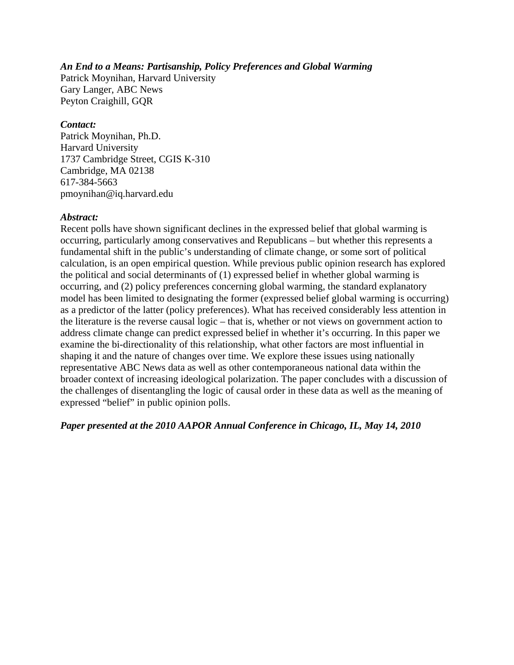#### *An End to a Means: Partisanship, Policy Preferences and Global Warming*

Patrick Moynihan, Harvard University Gary Langer, ABC News Peyton Craighill, GQR

#### *Contact:*

Patrick Moynihan, Ph.D. Harvard University 1737 Cambridge Street, CGIS K-310 Cambridge, MA 02138 617-384-5663 pmoynihan@iq.harvard.edu

#### *Abstract:*

Recent polls have shown significant declines in the expressed belief that global warming is occurring, particularly among conservatives and Republicans – but whether this represents a fundamental shift in the public's understanding of climate change, or some sort of political calculation, is an open empirical question. While previous public opinion research has explored the political and social determinants of (1) expressed belief in whether global warming is occurring, and (2) policy preferences concerning global warming, the standard explanatory model has been limited to designating the former (expressed belief global warming is occurring) as a predictor of the latter (policy preferences). What has received considerably less attention in the literature is the reverse causal logic – that is, whether or not views on government action to address climate change can predict expressed belief in whether it's occurring. In this paper we examine the bi-directionality of this relationship, what other factors are most influential in shaping it and the nature of changes over time. We explore these issues using nationally representative ABC News data as well as other contemporaneous national data within the broader context of increasing ideological polarization. The paper concludes with a discussion of the challenges of disentangling the logic of causal order in these data as well as the meaning of expressed "belief" in public opinion polls.

*Paper presented at the 2010 AAPOR Annual Conference in Chicago, IL, May 14, 2010*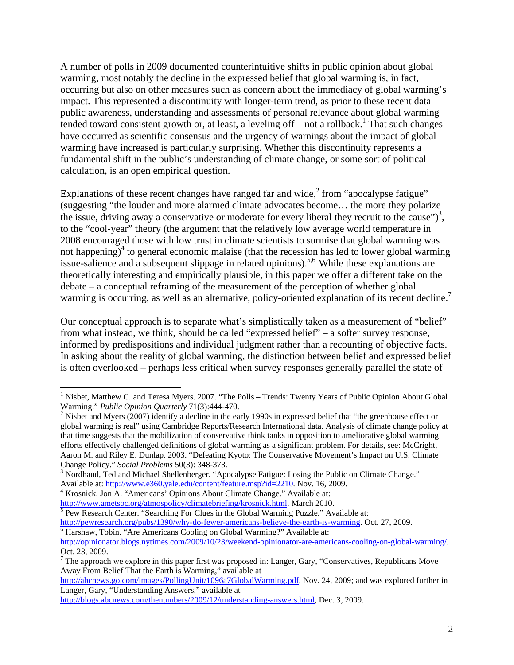A number of polls in 2009 documented counterintuitive shifts in public opinion about global warming, most notably the decline in the expressed belief that global warming is, in fact, occurring but also on other measures such as concern about the immediacy of global warming's impact. This represented a discontinuity with longer-term trend, as prior to these recent data public awareness, understanding and assessments of personal relevance about global warming tended toward consistent growth or, at least, a leveling off  $-$  not a rollback.<sup>1</sup> That such changes have occurred as scientific consensus and the urgency of warnings about the impact of global warming have increased is particularly surprising. Whether this discontinuity represents a fundamental shift in the public's understanding of climate change, or some sort of political calculation, is an open empirical question.

Explanations of these recent changes have ranged far and wide, $<sup>2</sup>$  from "apocalypse fatigue"</sup> (suggesting "the louder and more alarmed climate advocates become… the more they polarize the issue, driving away a conservative or moderate for every liberal they recruit to the cause")<sup>3</sup>, to the "cool-year" theory (the argument that the relatively low average world temperature in 2008 encouraged those with low trust in climate scientists to surmise that global warming was not happening)<sup>4</sup> to general economic malaise (that the recession has led to lower global warming issue-salience and a subsequent slippage in related opinions).<sup>5,6</sup> While these explanations are theoretically interesting and empirically plausible, in this paper we offer a different take on the debate – a conceptual reframing of the measurement of the perception of whether global warming is occurring, as well as an alternative, policy-oriented explanation of its recent decline.<sup>7</sup>

Our conceptual approach is to separate what's simplistically taken as a measurement of "belief" from what instead, we think, should be called "expressed belief" – a softer survey response, informed by predispositions and individual judgment rather than a recounting of objective facts. In asking about the reality of global warming, the distinction between belief and expressed belief is often overlooked – perhaps less critical when survey responses generally parallel the state of

 $\overline{a}$ 

http://abcnews.go.com/images/PollingUnit/1096a7GlobalWarming.pdf, Nov. 24, 2009; and was explored further in Langer, Gary, "Understanding Answers," available at

http://blogs.abcnews.com/thenumbers/2009/12/understanding-answers.html, Dec. 3, 2009.

<sup>&</sup>lt;sup>1</sup> Nisbet, Matthew C. and Teresa Myers. 2007. "The Polls - Trends: Twenty Years of Public Opinion About Global Warming." *Public Opinion Quarterly* 71(3):444-470. 2

 $2$  Nisbet and Myers (2007) identify a decline in the early 1990s in expressed belief that "the greenhouse effect or global warming is real" using Cambridge Reports/Research International data. Analysis of climate change policy at that time suggests that the mobilization of conservative think tanks in opposition to ameliorative global warming efforts effectively challenged definitions of global warming as a significant problem. For details, see: McCright, Aaron M. and Riley E. Dunlap. 2003. "Defeating Kyoto: The Conservative Movement's Impact on U.S. Climate Change Policy." *Social Problems* 50(3): 348-373.

<sup>&</sup>lt;sup>3</sup> Nordhaud, Ted and Michael Shellenberger. "Apocalypse Fatigue: Losing the Public on Climate Change." Available at: http://www.e360.yale.edu/content/feature.msp?id=2210. Nov. 16, 2009.

<sup>&</sup>lt;sup>4</sup> Krosnick, Jon A. "Americans' Opinions About Climate Change." Available at:

http://www.ametsoc.org/atmospolicy/climatebriefing/krosnick.html. March 2010.

<sup>&</sup>lt;sup>5</sup> Pew Research Center. "Searching For Clues in the Global Warming Puzzle." Available at:

http://pewresearch.org/pubs/1390/why-do-fewer-americans-believe-the-earth-is-warming. Oct. 27, 2009.

 $\overline{6}$  Harshaw, Tobin. "Are Americans Cooling on Global Warming?" Available at:

http://opinionator.blogs.nytimes.com/2009/10/23/weekend-opinionator-are-americans-cooling-on-global-warming/. Oct. 23, 2009.

 $<sup>7</sup>$  The approach we explore in this paper first was proposed in: Langer, Gary, "Conservatives, Republicans Move</sup> Away From Belief That the Earth is Warming," available at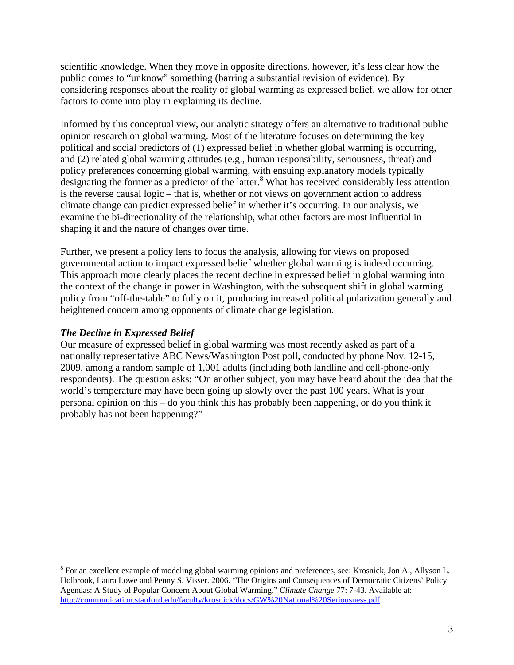scientific knowledge. When they move in opposite directions, however, it's less clear how the public comes to "unknow" something (barring a substantial revision of evidence). By considering responses about the reality of global warming as expressed belief, we allow for other factors to come into play in explaining its decline.

Informed by this conceptual view, our analytic strategy offers an alternative to traditional public opinion research on global warming. Most of the literature focuses on determining the key political and social predictors of (1) expressed belief in whether global warming is occurring, and (2) related global warming attitudes (e.g., human responsibility, seriousness, threat) and policy preferences concerning global warming, with ensuing explanatory models typically designating the former as a predictor of the latter.<sup>8</sup> What has received considerably less attention is the reverse causal logic – that is, whether or not views on government action to address climate change can predict expressed belief in whether it's occurring. In our analysis, we examine the bi-directionality of the relationship, what other factors are most influential in shaping it and the nature of changes over time.

Further, we present a policy lens to focus the analysis, allowing for views on proposed governmental action to impact expressed belief whether global warming is indeed occurring. This approach more clearly places the recent decline in expressed belief in global warming into the context of the change in power in Washington, with the subsequent shift in global warming policy from "off-the-table" to fully on it, producing increased political polarization generally and heightened concern among opponents of climate change legislation.

## *The Decline in Expressed Belief*

<u>.</u>

Our measure of expressed belief in global warming was most recently asked as part of a nationally representative ABC News/Washington Post poll, conducted by phone Nov. 12-15, 2009, among a random sample of 1,001 adults (including both landline and cell-phone-only respondents). The question asks: "On another subject, you may have heard about the idea that the world's temperature may have been going up slowly over the past 100 years. What is your personal opinion on this – do you think this has probably been happening, or do you think it probably has not been happening?"

<sup>&</sup>lt;sup>8</sup> For an excellent example of modeling global warming opinions and preferences, see: Krosnick, Jon A., Allyson L. Holbrook, Laura Lowe and Penny S. Visser. 2006. "The Origins and Consequences of Democratic Citizens' Policy Agendas: A Study of Popular Concern About Global Warming." *Climate Change* 77: 7-43. Available at: http://communication.stanford.edu/faculty/krosnick/docs/GW%20National%20Seriousness.pdf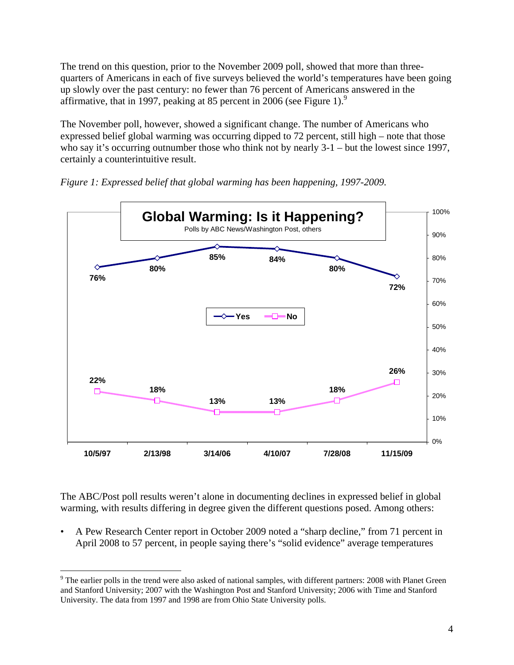The trend on this question, prior to the November 2009 poll, showed that more than threequarters of Americans in each of five surveys believed the world's temperatures have been going up slowly over the past century: no fewer than 76 percent of Americans answered in the affirmative, that in 1997, peaking at 85 percent in 2006 (see Figure 1).<sup>9</sup>

The November poll, however, showed a significant change. The number of Americans who expressed belief global warming was occurring dipped to 72 percent, still high – note that those who say it's occurring outnumber those who think not by nearly  $3-1$  – but the lowest since 1997, certainly a counterintuitive result.



*Figure 1: Expressed belief that global warming has been happening, 1997-2009.* 

The ABC/Post poll results weren't alone in documenting declines in expressed belief in global warming, with results differing in degree given the different questions posed. Among others:

• A Pew Research Center report in October 2009 noted a "sharp decline," from 71 percent in April 2008 to 57 percent, in people saying there's "solid evidence" average temperatures

<sup>1</sup>  $9$  The earlier polls in the trend were also asked of national samples, with different partners: 2008 with Planet Green and Stanford University; 2007 with the Washington Post and Stanford University; 2006 with Time and Stanford University. The data from 1997 and 1998 are from Ohio State University polls.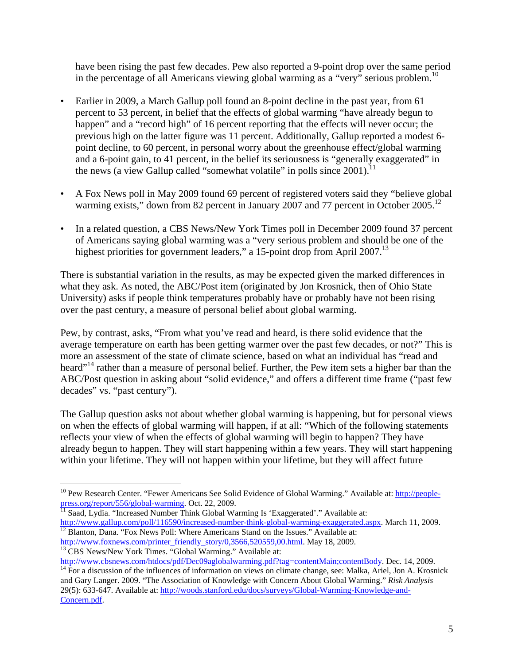have been rising the past few decades. Pew also reported a 9-point drop over the same period in the percentage of all Americans viewing global warming as a "very" serious problem.<sup>10</sup>

- Earlier in 2009, a March Gallup poll found an 8-point decline in the past year, from 61 percent to 53 percent, in belief that the effects of global warming "have already begun to happen" and a "record high" of 16 percent reporting that the effects will never occur; the previous high on the latter figure was 11 percent. Additionally, Gallup reported a modest 6 point decline, to 60 percent, in personal worry about the greenhouse effect/global warming and a 6-point gain, to 41 percent, in the belief its seriousness is "generally exaggerated" in the news (a view Gallup called "somewhat volatile" in polls since  $2001$ ).<sup>11</sup>
- A Fox News poll in May 2009 found 69 percent of registered voters said they "believe global warming exists," down from 82 percent in January 2007 and 77 percent in October 2005.<sup>12</sup>
- In a related question, a CBS News/New York Times poll in December 2009 found 37 percent of Americans saying global warming was a "very serious problem and should be one of the highest priorities for government leaders," a 15-point drop from April 2007.<sup>13</sup>

There is substantial variation in the results, as may be expected given the marked differences in what they ask. As noted, the ABC/Post item (originated by Jon Krosnick, then of Ohio State University) asks if people think temperatures probably have or probably have not been rising over the past century, a measure of personal belief about global warming.

Pew, by contrast, asks, "From what you've read and heard, is there solid evidence that the average temperature on earth has been getting warmer over the past few decades, or not?" This is more an assessment of the state of climate science, based on what an individual has "read and heard"<sup>14</sup> rather than a measure of personal belief. Further, the Pew item sets a higher bar than the ABC/Post question in asking about "solid evidence," and offers a different time frame ("past few decades" vs. "past century").

The Gallup question asks not about whether global warming is happening, but for personal views on when the effects of global warming will happen, if at all: "Which of the following statements reflects your view of when the effects of global warming will begin to happen? They have already begun to happen. They will start happening within a few years. They will start happening within your lifetime. They will not happen within your lifetime, but they will affect future

press.org/report/556/global-warming. Oct. 22, 2009.<br><sup>11</sup> Saad, Lydia. "Increased Number Think Global Warming Is 'Exaggerated'." Available at:<br>http://www.gallup.com/poll/116590/increased-number-think-global-warming-exaggera  $\frac{12}{12}$  Blanton, Dana. "Fox News Poll: Where Americans Stand on the Issues." Available at:

 $\overline{a}$ 

http://www.cbsnews.com/htdocs/pdf/Dec09aglobalwarming.pdf?tag=contentMain;contentBody. Dec. 14, 2009.<br><sup>14</sup> For a discussion of the influences of information on views on climate change, see: Malka, Ariel, Jon A. Krosnick

<sup>&</sup>lt;sup>10</sup> Pew Research Center. "Fewer Americans See Solid Evidence of Global Warming." Available at: http://people-

http://www.foxnews.com/printer\_friendly\_story/0,3566,520559,00.html. May 18, 2009.<br><sup>13</sup> CBS News/New York Times. "Global Warming." Available at:

and Gary Langer. 2009. "The Association of Knowledge with Concern About Global Warming." *Risk Analysis* 29(5): 633-647. Available at: http://woods.stanford.edu/docs/surveys/Global-Warming-Knowledge-and-Concern.pdf.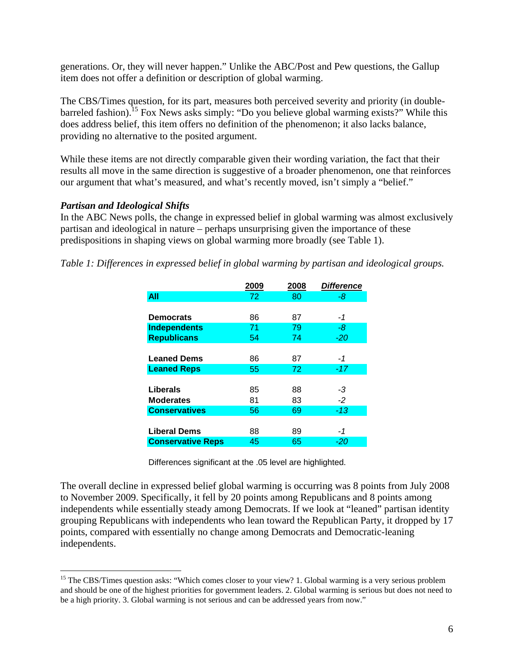generations. Or, they will never happen." Unlike the ABC/Post and Pew questions, the Gallup item does not offer a definition or description of global warming.

The CBS/Times question, for its part, measures both perceived severity and priority (in doublebarreled fashion).15 Fox News asks simply: "Do you believe global warming exists?" While this does address belief, this item offers no definition of the phenomenon; it also lacks balance, providing no alternative to the posited argument.

While these items are not directly comparable given their wording variation, the fact that their results all move in the same direction is suggestive of a broader phenomenon, one that reinforces our argument that what's measured, and what's recently moved, isn't simply a "belief."

### *Partisan and Ideological Shifts*

 $\overline{a}$ 

In the ABC News polls, the change in expressed belief in global warming was almost exclusively partisan and ideological in nature – perhaps unsurprising given the importance of these predispositions in shaping views on global warming more broadly (see Table 1).

*Table 1: Differences in expressed belief in global warming by partisan and ideological groups.* 

|                          | 2009 | 2008 | <b>Difference</b> |
|--------------------------|------|------|-------------------|
| All                      | 72   | 80   | -8                |
|                          |      |      |                   |
| <b>Democrats</b>         | 86   | 87   | -1                |
| <b>Independents</b>      | 71   | 79   | -8                |
| <b>Republicans</b>       | 54   | 74   | $-20$             |
|                          |      |      |                   |
| <b>Leaned Dems</b>       | 86   | 87   | -1                |
| <b>Leaned Reps</b>       | 55   | 72   | $-17$             |
|                          |      |      |                   |
| Liberals                 | 85   | 88   | -3                |
| <b>Moderates</b>         | 81   | 83   | $-2$              |
| <b>Conservatives</b>     | 56   | 69   | $-13$             |
|                          |      |      |                   |
| <b>Liberal Dems</b>      | 88   | 89   | -1                |
| <b>Conservative Reps</b> | 45   | 65   | -20               |

Differences significant at the .05 level are highlighted.

The overall decline in expressed belief global warming is occurring was 8 points from July 2008 to November 2009. Specifically, it fell by 20 points among Republicans and 8 points among independents while essentially steady among Democrats. If we look at "leaned" partisan identity grouping Republicans with independents who lean toward the Republican Party, it dropped by 17 points, compared with essentially no change among Democrats and Democratic-leaning independents.

<sup>&</sup>lt;sup>15</sup> The CBS/Times question asks: "Which comes closer to your view? 1. Global warming is a very serious problem and should be one of the highest priorities for government leaders. 2. Global warming is serious but does not need to be a high priority. 3. Global warming is not serious and can be addressed years from now."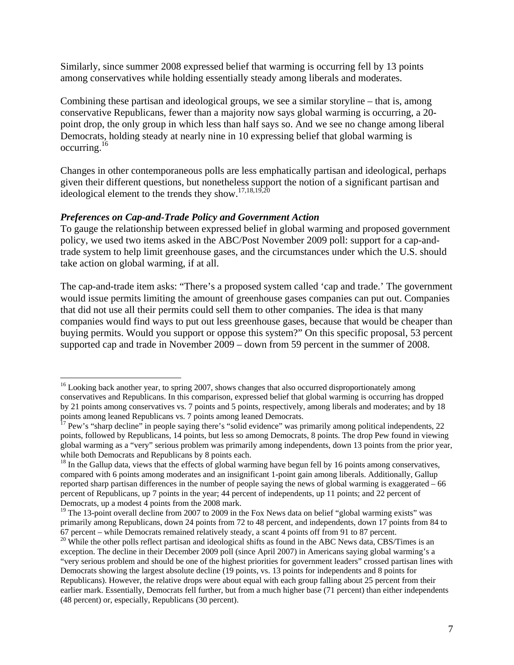Similarly, since summer 2008 expressed belief that warming is occurring fell by 13 points among conservatives while holding essentially steady among liberals and moderates.

Combining these partisan and ideological groups, we see a similar storyline – that is, among conservative Republicans, fewer than a majority now says global warming is occurring, a 20 point drop, the only group in which less than half says so. And we see no change among liberal Democrats, holding steady at nearly nine in 10 expressing belief that global warming is occurring.16

Changes in other contemporaneous polls are less emphatically partisan and ideological, perhaps given their different questions, but nonetheless support the notion of a significant partisan and ideological element to the trends they show.<sup>17,18,19,20</sup>

### *Preferences on Cap-and-Trade Policy and Government Action*

 $\overline{a}$ 

To gauge the relationship between expressed belief in global warming and proposed government policy, we used two items asked in the ABC/Post November 2009 poll: support for a cap-andtrade system to help limit greenhouse gases, and the circumstances under which the U.S. should take action on global warming, if at all.

The cap-and-trade item asks: "There's a proposed system called 'cap and trade.' The government would issue permits limiting the amount of greenhouse gases companies can put out. Companies that did not use all their permits could sell them to other companies. The idea is that many companies would find ways to put out less greenhouse gases, because that would be cheaper than buying permits. Would you support or oppose this system?" On this specific proposal, 53 percent supported cap and trade in November 2009 – down from 59 percent in the summer of 2008.

<sup>&</sup>lt;sup>16</sup> Looking back another year, to spring 2007, shows changes that also occurred disproportionately among conservatives and Republicans. In this comparison, expressed belief that global warming is occurring has dropped by 21 points among conservatives vs. 7 points and 5 points, respectively, among liberals and moderates; and by 18 points among leaned Republicans vs. 7 points among leaned Democrats.

 $17$  Pew's "sharp decline" in people saying there's "solid evidence" was primarily among political independents, 22 points, followed by Republicans, 14 points, but less so among Democrats, 8 points. The drop Pew found in viewing global warming as a "very" serious problem was primarily among independents, down 13 points from the prior year, while both Democrats and Republicans by 8 points each.

 $18$  In the Gallup data, views that the effects of global warming have begun fell by 16 points among conservatives, compared with 6 points among moderates and an insignificant 1-point gain among liberals. Additionally, Gallup reported sharp partisan differences in the number of people saying the news of global warming is exaggerated – 66 percent of Republicans, up 7 points in the year; 44 percent of independents, up 11 points; and 22 percent of Democrats, up a modest 4 points from the 2008 mark.

<sup>&</sup>lt;sup>19</sup> The 13-point overall decline from 2007 to 2009 in the Fox News data on belief "global warming exists" was primarily among Republicans, down 24 points from 72 to 48 percent, and independents, down 17 points from 84 to 67 percent – while Democrats remained relatively steady, a scant 4 points off from 91 to 87 percent.

 $20$  While the other polls reflect partisan and ideological shifts as found in the ABC News data, CBS/Times is an exception. The decline in their December 2009 poll (since April 2007) in Americans saying global warming's a "very serious problem and should be one of the highest priorities for government leaders" crossed partisan lines with Democrats showing the largest absolute decline (19 points, vs. 13 points for independents and 8 points for Republicans). However, the relative drops were about equal with each group falling about 25 percent from their earlier mark. Essentially, Democrats fell further, but from a much higher base (71 percent) than either independents (48 percent) or, especially, Republicans (30 percent).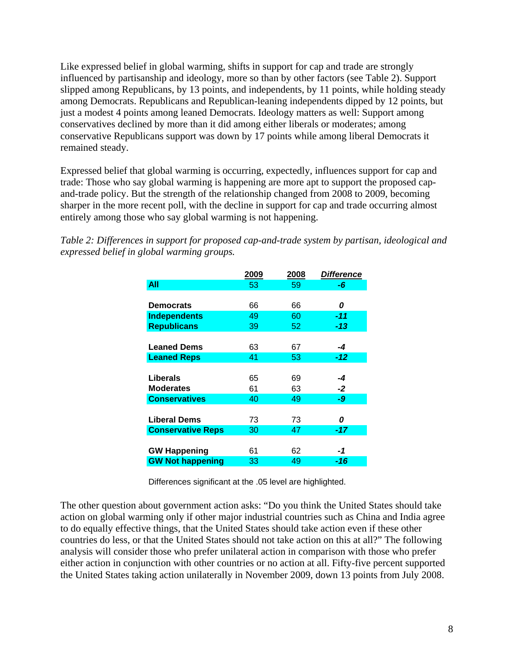Like expressed belief in global warming, shifts in support for cap and trade are strongly influenced by partisanship and ideology, more so than by other factors (see Table 2). Support slipped among Republicans, by 13 points, and independents, by 11 points, while holding steady among Democrats. Republicans and Republican-leaning independents dipped by 12 points, but just a modest 4 points among leaned Democrats. Ideology matters as well: Support among conservatives declined by more than it did among either liberals or moderates; among conservative Republicans support was down by 17 points while among liberal Democrats it remained steady.

Expressed belief that global warming is occurring, expectedly, influences support for cap and trade: Those who say global warming is happening are more apt to support the proposed capand-trade policy. But the strength of the relationship changed from 2008 to 2009, becoming sharper in the more recent poll, with the decline in support for cap and trade occurring almost entirely among those who say global warming is not happening.

|                          | 2009 | 2008 | <b>Difference</b> |
|--------------------------|------|------|-------------------|
| <b>All</b>               | 53   | 59   | -6                |
|                          |      |      |                   |
| <b>Democrats</b>         | 66   | 66   | 0                 |
| <b>Independents</b>      | 49   | 60   | -11               |
| <b>Republicans</b>       | 39   | 52   | -13               |
|                          |      |      |                   |
| <b>Leaned Dems</b>       | 63   | 67   | -4                |
| <b>Leaned Reps</b>       | 41   | 53   | -12               |
|                          |      |      |                   |
| Liberals                 | 65   | 69   | -4                |
| <b>Moderates</b>         | 61   | 63   | -2                |
| <b>Conservatives</b>     | 40   | 49   | -9                |
|                          |      |      |                   |
| <b>Liberal Dems</b>      | 73   | 73   | 0                 |
| <b>Conservative Reps</b> | 30   | 47   | -17               |
|                          |      |      |                   |
| <b>GW Happening</b>      | 61   | 62   | -1                |
| <b>GW Not happening</b>  | 33   | 49   | -16               |

*Table 2: Differences in support for proposed cap-and-trade system by partisan, ideological and expressed belief in global warming groups.* 

Differences significant at the .05 level are highlighted.

The other question about government action asks: "Do you think the United States should take action on global warming only if other major industrial countries such as China and India agree to do equally effective things, that the United States should take action even if these other countries do less, or that the United States should not take action on this at all?" The following analysis will consider those who prefer unilateral action in comparison with those who prefer either action in conjunction with other countries or no action at all. Fifty-five percent supported the United States taking action unilaterally in November 2009, down 13 points from July 2008.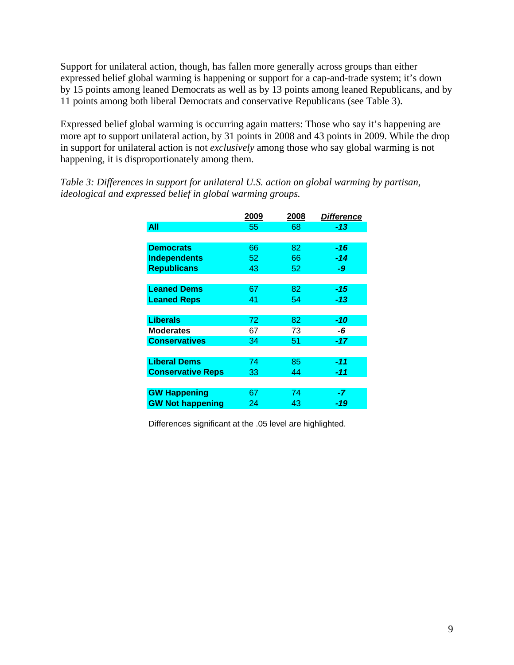Support for unilateral action, though, has fallen more generally across groups than either expressed belief global warming is happening or support for a cap-and-trade system; it's down by 15 points among leaned Democrats as well as by 13 points among leaned Republicans, and by 11 points among both liberal Democrats and conservative Republicans (see Table 3).

Expressed belief global warming is occurring again matters: Those who say it's happening are more apt to support unilateral action, by 31 points in 2008 and 43 points in 2009. While the drop in support for unilateral action is not *exclusively* among those who say global warming is not happening, it is disproportionately among them.

|                          | 2009 | 2008 | <i><b>Difference</b></i> |
|--------------------------|------|------|--------------------------|
| All                      | 55   | 68   | $-13$                    |
|                          |      |      |                          |
| <b>Democrats</b>         | 66   | 82   | $-16$                    |
| <b>Independents</b>      | 52   | 66   | -14                      |
| <b>Republicans</b>       | 43   | 52   | -9                       |
|                          |      |      |                          |
| <b>Leaned Dems</b>       | 67   | 82   | -15                      |
| <b>Leaned Reps</b>       | 41   | 54   | -13                      |
|                          |      |      |                          |
| <b>Liberals</b>          | 72   | 82   | $-10$                    |
| <b>Moderates</b>         | 67   | 73   | -6                       |
| <b>Conservatives</b>     | 34   | 51   | $-17$                    |
|                          |      |      |                          |
| <b>Liberal Dems</b>      | 74   | 85   | -11                      |
| <b>Conservative Reps</b> | 33   | 44   | -11                      |
|                          |      |      |                          |
| <b>GW Happening</b>      | 67   | 74   | -7                       |
| <b>GW Not happening</b>  | 24   | 43   | -19                      |

*Table 3: Differences in support for unilateral U.S. action on global warming by partisan, ideological and expressed belief in global warming groups.* 

Differences significant at the .05 level are highlighted.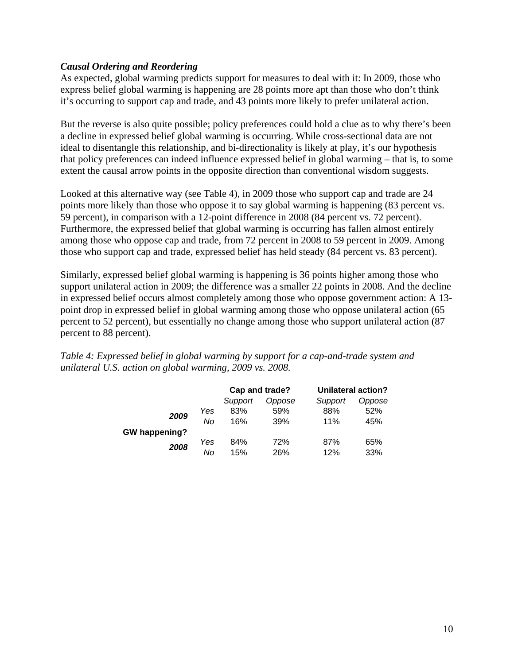### *Causal Ordering and Reordering*

As expected, global warming predicts support for measures to deal with it: In 2009, those who express belief global warming is happening are 28 points more apt than those who don't think it's occurring to support cap and trade, and 43 points more likely to prefer unilateral action.

But the reverse is also quite possible; policy preferences could hold a clue as to why there's been a decline in expressed belief global warming is occurring. While cross-sectional data are not ideal to disentangle this relationship, and bi-directionality is likely at play, it's our hypothesis that policy preferences can indeed influence expressed belief in global warming – that is, to some extent the causal arrow points in the opposite direction than conventional wisdom suggests.

Looked at this alternative way (see Table 4), in 2009 those who support cap and trade are 24 points more likely than those who oppose it to say global warming is happening (83 percent vs. 59 percent), in comparison with a 12-point difference in 2008 (84 percent vs. 72 percent). Furthermore, the expressed belief that global warming is occurring has fallen almost entirely among those who oppose cap and trade, from 72 percent in 2008 to 59 percent in 2009. Among those who support cap and trade, expressed belief has held steady (84 percent vs. 83 percent).

Similarly, expressed belief global warming is happening is 36 points higher among those who support unilateral action in 2009; the difference was a smaller 22 points in 2008. And the decline in expressed belief occurs almost completely among those who oppose government action: A 13 point drop in expressed belief in global warming among those who oppose unilateral action (65 percent to 52 percent), but essentially no change among those who support unilateral action (87 percent to 88 percent).

*Table 4: Expressed belief in global warming by support for a cap-and-trade system and unilateral U.S. action on global warming, 2009 vs. 2008.* 

|               |     |         | Cap and trade? | <b>Unilateral action?</b> |        |  |
|---------------|-----|---------|----------------|---------------------------|--------|--|
|               |     | Support | Oppose         | Support                   | Oppose |  |
|               | Yes | 83%     | 59%            | 88%                       | 52%    |  |
| 2009          | No  | 16%     | 39%            | 11%                       | 45%    |  |
| GW happening? |     |         |                |                           |        |  |
| 2008          | Yes | 84%     | 72%            | 87%                       | 65%    |  |
|               | No  | 15%     | 26%            | 12%                       | 33%    |  |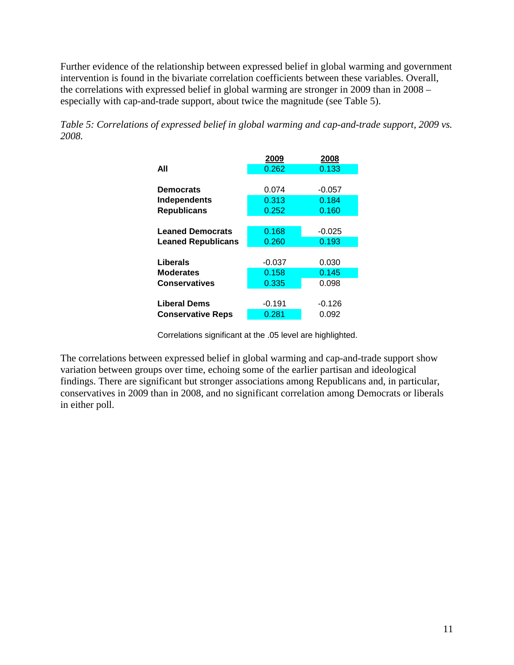Further evidence of the relationship between expressed belief in global warming and government intervention is found in the bivariate correlation coefficients between these variables. Overall, the correlations with expressed belief in global warming are stronger in 2009 than in 2008 – especially with cap-and-trade support, about twice the magnitude (see Table 5).

*Table 5: Correlations of expressed belief in global warming and cap-and-trade support, 2009 vs. 2008.* 

|                           | 2009     | 2008     |
|---------------------------|----------|----------|
| All                       | 0.262    | 0.133    |
|                           |          |          |
| <b>Democrats</b>          | 0.074    | $-0.057$ |
| <b>Independents</b>       | 0.313    | 0.184    |
| <b>Republicans</b>        | 0.252    | 0.160    |
|                           |          |          |
| <b>Leaned Democrats</b>   | 0.168    | $-0.025$ |
| <b>Leaned Republicans</b> | 0.260    | 0.193    |
|                           |          |          |
| Liberals                  | $-0.037$ | 0.030    |
| <b>Moderates</b>          | 0.158    | 0.145    |
| <b>Conservatives</b>      | 0.335    | 0.098    |
|                           |          |          |
| <b>Liberal Dems</b>       | $-0.191$ | $-0.126$ |
| <b>Conservative Reps</b>  | 0.281    | 0.092    |

Correlations significant at the .05 level are highlighted.

The correlations between expressed belief in global warming and cap-and-trade support show variation between groups over time, echoing some of the earlier partisan and ideological findings. There are significant but stronger associations among Republicans and, in particular, conservatives in 2009 than in 2008, and no significant correlation among Democrats or liberals in either poll.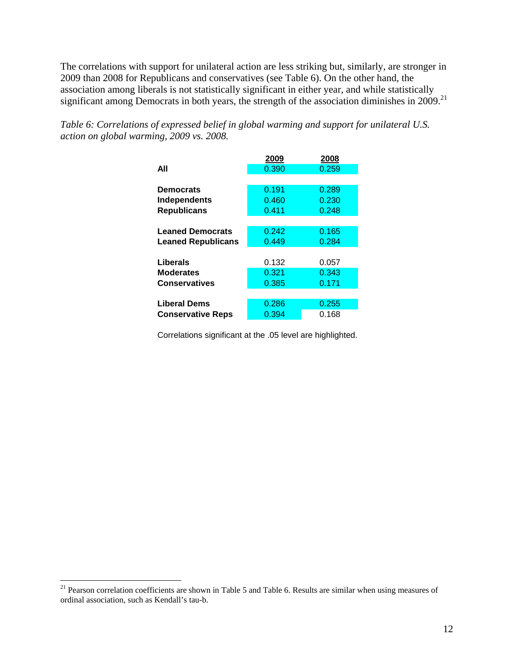The correlations with support for unilateral action are less striking but, similarly, are stronger in 2009 than 2008 for Republicans and conservatives (see Table 6). On the other hand, the association among liberals is not statistically significant in either year, and while statistically significant among Democrats in both years, the strength of the association diminishes in 2009.<sup>21</sup>

*Table 6: Correlations of expressed belief in global warming and support for unilateral U.S. action on global warming, 2009 vs. 2008.* 

| 2009  | 2008  |
|-------|-------|
| 0.390 | 0.259 |
|       |       |
| 0.191 | 0.289 |
| 0.460 | 0.230 |
| 0.411 | 0.248 |
|       |       |
| 0.242 | 0.165 |
| 0.449 | 0.284 |
|       |       |
| 0.132 | 0.057 |
| 0.321 | 0.343 |
| 0.385 | 0.171 |
|       |       |
| 0.286 | 0.255 |
| 0.394 | 0.168 |
|       |       |

Correlations significant at the .05 level are highlighted.

 $\overline{a}$ 

 $21$  Pearson correlation coefficients are shown in Table 5 and Table 6. Results are similar when using measures of ordinal association, such as Kendall's tau-b.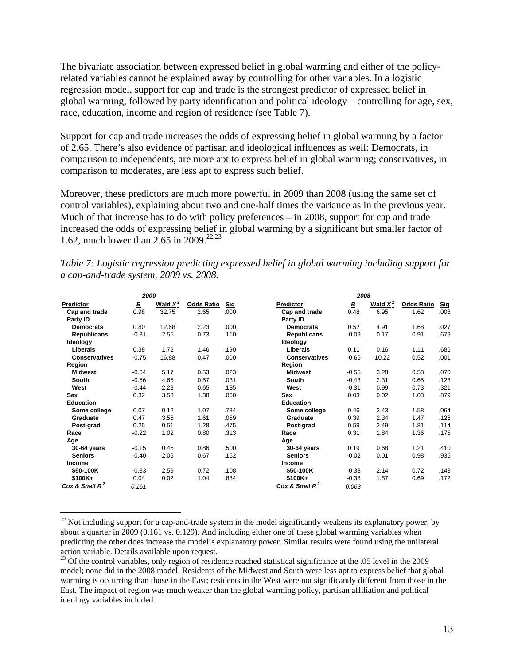The bivariate association between expressed belief in global warming and either of the policyrelated variables cannot be explained away by controlling for other variables. In a logistic regression model, support for cap and trade is the strongest predictor of expressed belief in global warming, followed by party identification and political ideology – controlling for age, sex, race, education, income and region of residence (see Table 7).

Support for cap and trade increases the odds of expressing belief in global warming by a factor of 2.65. There's also evidence of partisan and ideological influences as well: Democrats, in comparison to independents, are more apt to express belief in global warming; conservatives, in comparison to moderates, are less apt to express such belief.

Moreover, these predictors are much more powerful in 2009 than 2008 (using the same set of control variables), explaining about two and one-half times the variance as in the previous year. Much of that increase has to do with policy preferences – in 2008, support for cap and trade increased the odds of expressing belief in global warming by a significant but smaller factor of 1.62, much lower than  $2.65$  in  $2009$ <sup>22,23</sup>

| 2009                 |         |            |                   |            | 2008                 |         |            |                   |            |
|----------------------|---------|------------|-------------------|------------|----------------------|---------|------------|-------------------|------------|
| Predictor            | В       | Wald $X^2$ | <b>Odds Ratio</b> | <b>Sig</b> | Predictor            | B       | Wald $X^2$ | <b>Odds Ratio</b> | <b>Sig</b> |
| Cap and trade        | 0.98    | 32.75      | 2.65              | .000       | Cap and trade        | 0.48    | 6.95       | 1.62              | .008       |
| Party ID             |         |            |                   |            | Party ID             |         |            |                   |            |
| <b>Democrats</b>     | 0.80    | 12.68      | 2.23              | .000       | <b>Democrats</b>     | 0.52    | 4.91       | 1.68              | .027       |
| <b>Republicans</b>   | $-0.31$ | 2.55       | 0.73              | .110       | <b>Republicans</b>   | $-0.09$ | 0.17       | 0.91              | .679       |
| Ideology             |         |            |                   |            | Ideology             |         |            |                   |            |
| Liberals             | 0.38    | 1.72       | 1.46              | .190       | Liberals             | 0.11    | 0.16       | 1.11              | .686       |
| <b>Conservatives</b> | $-0.75$ | 16.88      | 0.47              | .000       | <b>Conservatives</b> | $-0.66$ | 10.22      | 0.52              | .001       |
| Region               |         |            |                   |            | Region               |         |            |                   |            |
| <b>Midwest</b>       | $-0.64$ | 5.17       | 0.53              | .023       | <b>Midwest</b>       | $-0.55$ | 3.28       | 0.58              | .070       |
| South                | $-0.56$ | 4.65       | 0.57              | .031       | South                | $-0.43$ | 2.31       | 0.65              | .128       |
| West                 | $-0.44$ | 2.23       | 0.65              | .135       | West                 | $-0.31$ | 0.99       | 0.73              | .321       |
| Sex                  | 0.32    | 3.53       | 1.38              | .060       | Sex                  | 0.03    | 0.02       | 1.03              | .879       |
| <b>Education</b>     |         |            |                   |            | <b>Education</b>     |         |            |                   |            |
| Some college         | 0.07    | 0.12       | 1.07              | .734       | Some college         | 0.46    | 3.43       | 1.58              | .064       |
| Graduate             | 0.47    | 3.56       | 1.61              | .059       | Graduate             | 0.39    | 2.34       | 1.47              | .126       |
| Post-grad            | 0.25    | 0.51       | 1.28              | .475       | Post-grad            | 0.59    | 2.49       | 1.81              | .114       |
| Race                 | $-0.22$ | 1.02       | 0.80              | .313       | Race                 | 0.31    | 1.84       | 1.36              | .175       |
| Age                  |         |            |                   |            | Age                  |         |            |                   |            |
| 30-64 years          | $-0.15$ | 0.45       | 0.86              | .500       | 30-64 years          | 0.19    | 0.68       | 1.21              | .410       |
| <b>Seniors</b>       | $-0.40$ | 2.05       | 0.67              | .152       | <b>Seniors</b>       | $-0.02$ | 0.01       | 0.98              | .936       |
| Income               |         |            |                   |            | Income               |         |            |                   |            |
| \$50-100K            | $-0.33$ | 2.59       | 0.72              | .108       | \$50-100K            | $-0.33$ | 2.14       | 0.72              | .143       |
| $$100K+$             | 0.04    | 0.02       | 1.04              | .884       | \$100K+              | $-0.38$ | 1.87       | 0.69              | .172       |
| Cox & Snell $R^2$    | 0.161   |            |                   |            | Cox & Snell $R^2$    | 0.063   |            |                   |            |

*Table 7: Logistic regression predicting expressed belief in global warming including support for a cap-and-trade system, 2009 vs. 2008.* 

 $\overline{a}$ 

 $22$  Not including support for a cap-and-trade system in the model significantly weakens its explanatory power, by about a quarter in 2009 (0.161 vs. 0.129). And including either one of these global warming variables when predicting the other does increase the model's explanatory power. Similar results were found using the unilateral action variable. Details available upon request.

<sup>&</sup>lt;sup>23</sup> Of the control variables, only region of residence reached statistical significance at the .05 level in the 2009 model; none did in the 2008 model. Residents of the Midwest and South were less apt to express belief that global warming is occurring than those in the East; residents in the West were not significantly different from those in the East. The impact of region was much weaker than the global warming policy, partisan affiliation and political ideology variables included.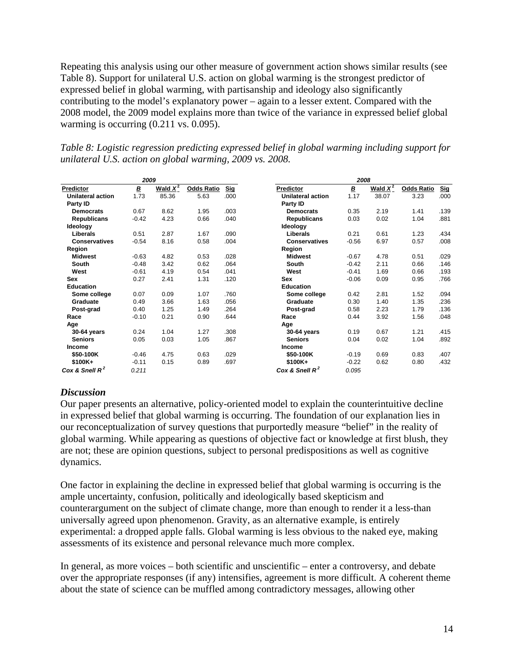Repeating this analysis using our other measure of government action shows similar results (see Table 8). Support for unilateral U.S. action on global warming is the strongest predictor of expressed belief in global warming, with partisanship and ideology also significantly contributing to the model's explanatory power – again to a lesser extent. Compared with the 2008 model, the 2009 model explains more than twice of the variance in expressed belief global warming is occurring  $(0.211 \text{ vs. } 0.095)$ .

*Table 8: Logistic regression predicting expressed belief in global warming including support for unilateral U.S. action on global warming, 2009 vs. 2008.* 

| 2009                     |         |            |                   | 2008       |                      |                |            |                   |            |
|--------------------------|---------|------------|-------------------|------------|----------------------|----------------|------------|-------------------|------------|
| <b>Predictor</b>         | В       | Wald $X^2$ | <b>Odds Ratio</b> | <b>Sig</b> | Predictor            | $\overline{B}$ | Wald $X^2$ | <b>Odds Ratio</b> | <b>Sig</b> |
| <b>Unilateral action</b> | 1.73    | 85.36      | 5.63              | .000       | Unilateral action    | 1.17           | 38.07      | 3.23              | .000       |
| Party ID                 |         |            |                   |            | Party ID             |                |            |                   |            |
| <b>Democrats</b>         | 0.67    | 8.62       | 1.95              | .003       | <b>Democrats</b>     | 0.35           | 2.19       | 1.41              | .139       |
| <b>Republicans</b>       | $-0.42$ | 4.23       | 0.66              | .040       | <b>Republicans</b>   | 0.03           | 0.02       | 1.04              | .881       |
| Ideology                 |         |            |                   |            | Ideology             |                |            |                   |            |
| Liberals                 | 0.51    | 2.87       | 1.67              | .090       | Liberals             | 0.21           | 0.61       | 1.23              | .434       |
| <b>Conservatives</b>     | $-0.54$ | 8.16       | 0.58              | .004       | <b>Conservatives</b> | $-0.56$        | 6.97       | 0.57              | .008       |
| Region                   |         |            |                   |            | Region               |                |            |                   |            |
| <b>Midwest</b>           | $-0.63$ | 4.82       | 0.53              | .028       | <b>Midwest</b>       | $-0.67$        | 4.78       | 0.51              | .029       |
| South                    | $-0.48$ | 3.42       | 0.62              | .064       | South                | $-0.42$        | 2.11       | 0.66              | .146       |
| West                     | $-0.61$ | 4.19       | 0.54              | .041       | West                 | $-0.41$        | 1.69       | 0.66              | .193       |
| Sex                      | 0.27    | 2.41       | 1.31              | .120       | <b>Sex</b>           | $-0.06$        | 0.09       | 0.95              | .766       |
| <b>Education</b>         |         |            |                   |            | <b>Education</b>     |                |            |                   |            |
| Some college             | 0.07    | 0.09       | 1.07              | .760       | Some college         | 0.42           | 2.81       | 1.52              | .094       |
| Graduate                 | 0.49    | 3.66       | 1.63              | .056       | Graduate             | 0.30           | 1.40       | 1.35              | .236       |
| Post-grad                | 0.40    | 1.25       | 1.49              | .264       | Post-grad            | 0.58           | 2.23       | 1.79              | .136       |
| Race                     | $-0.10$ | 0.21       | 0.90              | .644       | Race                 | 0.44           | 3.92       | 1.56              | .048       |
| Age                      |         |            |                   |            | Age                  |                |            |                   |            |
| 30-64 years              | 0.24    | 1.04       | 1.27              | .308       | 30-64 years          | 0.19           | 0.67       | 1.21              | .415       |
| <b>Seniors</b>           | 0.05    | 0.03       | 1.05              | .867       | <b>Seniors</b>       | 0.04           | 0.02       | 1.04              | .892       |
| Income                   |         |            |                   |            | Income               |                |            |                   |            |
| \$50-100K                | $-0.46$ | 4.75       | 0.63              | .029       | \$50-100K            | $-0.19$        | 0.69       | 0.83              | .407       |
| $$100K+$                 | $-0.11$ | 0.15       | 0.89              | .697       | $$100K +$            | $-0.22$        | 0.62       | 0.80              | .432       |
| Cox & Snell $R^2$        | 0.211   |            |                   |            | Cox & Snell $R^2$    | 0.095          |            |                   |            |

# *Discussion*

Our paper presents an alternative, policy-oriented model to explain the counterintuitive decline in expressed belief that global warming is occurring. The foundation of our explanation lies in our reconceptualization of survey questions that purportedly measure "belief" in the reality of global warming. While appearing as questions of objective fact or knowledge at first blush, they are not; these are opinion questions, subject to personal predispositions as well as cognitive dynamics.

One factor in explaining the decline in expressed belief that global warming is occurring is the ample uncertainty, confusion, politically and ideologically based skepticism and counterargument on the subject of climate change, more than enough to render it a less-than universally agreed upon phenomenon. Gravity, as an alternative example, is entirely experimental: a dropped apple falls. Global warming is less obvious to the naked eye, making assessments of its existence and personal relevance much more complex.

In general, as more voices – both scientific and unscientific – enter a controversy, and debate over the appropriate responses (if any) intensifies, agreement is more difficult. A coherent theme about the state of science can be muffled among contradictory messages, allowing other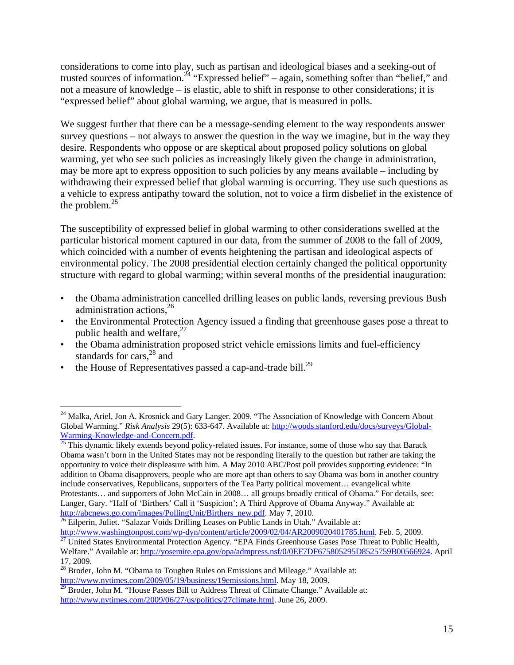considerations to come into play, such as partisan and ideological biases and a seeking-out of trusted sources of information.<sup>24</sup> "Expressed belief" – again, something softer than "belief," and not a measure of knowledge – is elastic, able to shift in response to other considerations; it is "expressed belief" about global warming, we argue, that is measured in polls.

We suggest further that there can be a message-sending element to the way respondents answer survey questions – not always to answer the question in the way we imagine, but in the way they desire. Respondents who oppose or are skeptical about proposed policy solutions on global warming, yet who see such policies as increasingly likely given the change in administration, may be more apt to express opposition to such policies by any means available – including by withdrawing their expressed belief that global warming is occurring. They use such questions as a vehicle to express antipathy toward the solution, not to voice a firm disbelief in the existence of the problem. $25$ 

The susceptibility of expressed belief in global warming to other considerations swelled at the particular historical moment captured in our data, from the summer of 2008 to the fall of 2009, which coincided with a number of events heightening the partisan and ideological aspects of environmental policy. The 2008 presidential election certainly changed the political opportunity structure with regard to global warming; within several months of the presidential inauguration:

- the Obama administration cancelled drilling leases on public lands, reversing previous Bush administration actions, $2^{6}$
- the Environmental Protection Agency issued a finding that greenhouse gases pose a threat to public health and welfare, $27$
- the Obama administration proposed strict vehicle emissions limits and fuel-efficiency standards for cars, $^{28}$  and
- the House of Representatives passed a cap-and-trade bill.<sup>29</sup>

 $\overline{a}$ 

http://www.washingtonpost.com/wp-dyn/content/article/2009/02/04/AR2009020401785.html. Feb. 5, 2009.<br><sup>27</sup> United States Environmental Protection Agency. "EPA Finds Greenhouse Gases Pose Threat to Public Health,

<sup>&</sup>lt;sup>24</sup> Malka, Ariel, Jon A. Krosnick and Gary Langer. 2009. "The Association of Knowledge with Concern About Global Warming." *Risk Analysis* 29(5): 633-647. Available at: http://woods.stanford.edu/docs/surveys/Global-Warming-Knowledge-and-Concern.pdf.<br><sup>25</sup> This dynamic likely extends beyond policy-related issues. For instance, some of those who say that Barack

Obama wasn't born in the United States may not be responding literally to the question but rather are taking the opportunity to voice their displeasure with him. A May 2010 ABC/Post poll provides supporting evidence: "In addition to Obama disapprovers, people who are more apt than others to say Obama was born in another country include conservatives, Republicans, supporters of the Tea Party political movement… evangelical white Protestants… and supporters of John McCain in 2008… all groups broadly critical of Obama." For details, see: Langer, Gary. "Half of 'Birthers' Call it 'Suspicion'; A Third Approve of Obama Anyway." Available at: http://abcnews.go.com/images/PollingUnit/Birthers new.pdf. May 7, 2010.

 $\frac{1}{26}$  Eilperin, Juliet. "Salazar Voids Drilling Leases on Public Lands in Utah." Available at:

Welfare." Available at: http://yosemite.epa.gov/opa/admpress.nsf/0/0EF7DF675805295D8525759B00566924. April 17, 2009.

 $^{28}$  Broder, John M. "Obama to Toughen Rules on Emissions and Mileage." Available at: http://www.nytimes.com/2009/05/19/business/19emissions.html. May 18, 2009.

 $29$  Broder, John M. "House Passes Bill to Address Threat of Climate Change." Available at: http://www.nytimes.com/2009/06/27/us/politics/27climate.html. June 26, 2009.